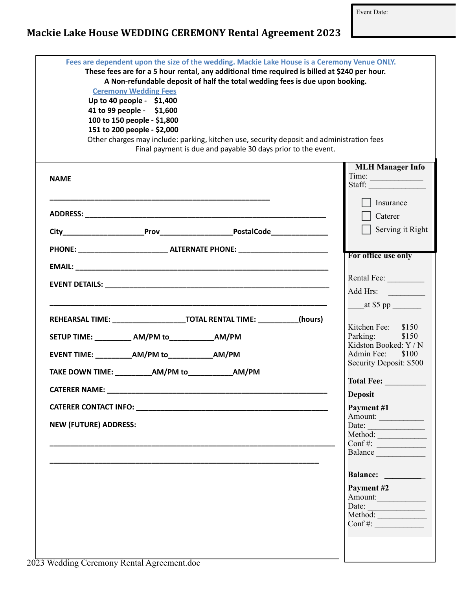Event Date:

## Mackie Lake House WEDDING CEREMONY Rental Agreement 2023

| A Non-refundable deposit of half the total wedding fees is due upon booking.<br><b>Ceremony Wedding Fees</b><br>Up to 40 people - \$1,400<br>41 to 99 people - \$1,600<br>100 to 150 people - \$1,800<br>151 to 200 people - \$2,000<br>Other charges may include: parking, kitchen use, security deposit and administration fees<br>Final payment is due and payable 30 days prior to the event. | These fees are for a 5 hour rental, any additional time required is billed at \$240 per hour.                                                                                                                                                                                                                                                                                                                                                                                                         |
|---------------------------------------------------------------------------------------------------------------------------------------------------------------------------------------------------------------------------------------------------------------------------------------------------------------------------------------------------------------------------------------------------|-------------------------------------------------------------------------------------------------------------------------------------------------------------------------------------------------------------------------------------------------------------------------------------------------------------------------------------------------------------------------------------------------------------------------------------------------------------------------------------------------------|
| <b>NAME</b>                                                                                                                                                                                                                                                                                                                                                                                       | <b>MLH Manager Info</b><br>Time:<br>Staff: $\frac{1}{\sqrt{1-\frac{1}{2}} \cdot \sqrt{1-\frac{1}{2}} \cdot \sqrt{1-\frac{1}{2}} \cdot \sqrt{1-\frac{1}{2}} \cdot \sqrt{1-\frac{1}{2}} \cdot \sqrt{1-\frac{1}{2}} \cdot \sqrt{1-\frac{1}{2}} \cdot \sqrt{1-\frac{1}{2}} \cdot \sqrt{1-\frac{1}{2}} \cdot \sqrt{1-\frac{1}{2}} \cdot \sqrt{1-\frac{1}{2}} \cdot \sqrt{1-\frac{1}{2}} \cdot \sqrt{1-\frac{1}{2}} \cdot \sqrt{1-\frac{1}{2}} \cdot \sqrt{1-\frac{1}{2}} \cdot \sqrt{1-\frac{1}{2}} \cdot$ |
|                                                                                                                                                                                                                                                                                                                                                                                                   | Insurance<br>  Caterer                                                                                                                                                                                                                                                                                                                                                                                                                                                                                |
|                                                                                                                                                                                                                                                                                                                                                                                                   | $\vert$ Serving it Right                                                                                                                                                                                                                                                                                                                                                                                                                                                                              |
|                                                                                                                                                                                                                                                                                                                                                                                                   |                                                                                                                                                                                                                                                                                                                                                                                                                                                                                                       |
|                                                                                                                                                                                                                                                                                                                                                                                                   | <b>For office use only</b>                                                                                                                                                                                                                                                                                                                                                                                                                                                                            |
|                                                                                                                                                                                                                                                                                                                                                                                                   | Rental Fee:                                                                                                                                                                                                                                                                                                                                                                                                                                                                                           |
|                                                                                                                                                                                                                                                                                                                                                                                                   | Add Hrs:                                                                                                                                                                                                                                                                                                                                                                                                                                                                                              |
| REHEARSAL TIME: ____________________________TOTAL RENTAL TIME: ___________(hours)                                                                                                                                                                                                                                                                                                                 | at \$5 pp<br>Kitchen Fee: \$150                                                                                                                                                                                                                                                                                                                                                                                                                                                                       |
| SETUP TIME: __________ AM/PM to_____________ AM/PM                                                                                                                                                                                                                                                                                                                                                | Parking: \$150<br>Kidston Booked: Y / N                                                                                                                                                                                                                                                                                                                                                                                                                                                               |
| EVENT TIME: ___________AM/PM to______________AM/PM                                                                                                                                                                                                                                                                                                                                                | Admin Fee: \$100<br>Security Deposit: \$500                                                                                                                                                                                                                                                                                                                                                                                                                                                           |
| TAKE DOWN TIME: AM/PM to AM/PM                                                                                                                                                                                                                                                                                                                                                                    | <b>Total Fee:</b>                                                                                                                                                                                                                                                                                                                                                                                                                                                                                     |
|                                                                                                                                                                                                                                                                                                                                                                                                   | <b>Deposit</b>                                                                                                                                                                                                                                                                                                                                                                                                                                                                                        |
|                                                                                                                                                                                                                                                                                                                                                                                                   | Payment #1                                                                                                                                                                                                                                                                                                                                                                                                                                                                                            |
| <b>NEW (FUTURE) ADDRESS:</b>                                                                                                                                                                                                                                                                                                                                                                      | Amount:<br>Date: <u>Method:</u>                                                                                                                                                                                                                                                                                                                                                                                                                                                                       |
|                                                                                                                                                                                                                                                                                                                                                                                                   | Conf#: $\frac{1}{\sqrt{1-\frac{1}{2}}\sqrt{1-\frac{1}{2}}\sqrt{1-\frac{1}{2}}\sqrt{1-\frac{1}{2}}}}$                                                                                                                                                                                                                                                                                                                                                                                                  |
|                                                                                                                                                                                                                                                                                                                                                                                                   | Balance                                                                                                                                                                                                                                                                                                                                                                                                                                                                                               |
|                                                                                                                                                                                                                                                                                                                                                                                                   | Balance: _________                                                                                                                                                                                                                                                                                                                                                                                                                                                                                    |
|                                                                                                                                                                                                                                                                                                                                                                                                   | Payment #2<br>Amount:                                                                                                                                                                                                                                                                                                                                                                                                                                                                                 |
|                                                                                                                                                                                                                                                                                                                                                                                                   |                                                                                                                                                                                                                                                                                                                                                                                                                                                                                                       |
|                                                                                                                                                                                                                                                                                                                                                                                                   |                                                                                                                                                                                                                                                                                                                                                                                                                                                                                                       |